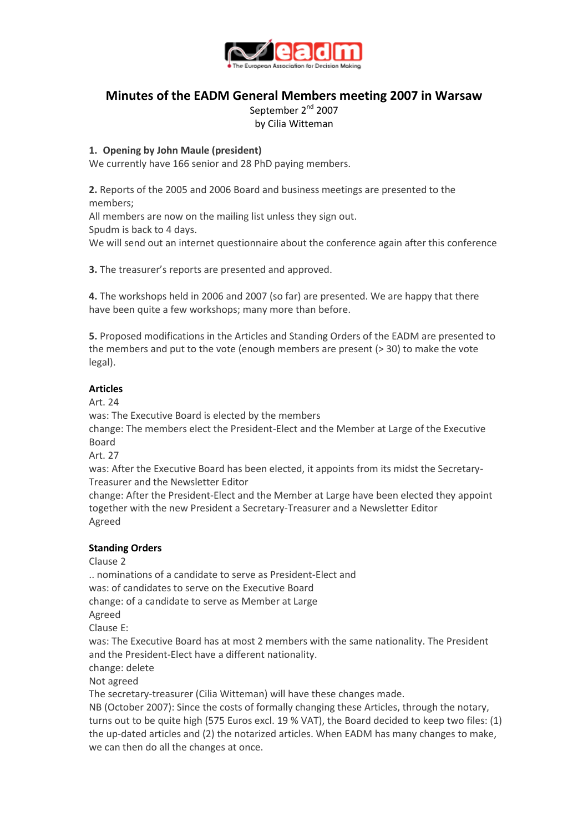

## **Minutes of the EADM General Members meeting 2007 in Warsaw**

September 2<sup>nd</sup> 2007 by Cilia Witteman

## **1. Opening by John Maule (president)**

We currently have 166 senior and 28 PhD paying members.

**2.** Reports of the 2005 and 2006 Board and business meetings are presented to the members;

All members are now on the mailing list unless they sign out.

Spudm is back to 4 days.

We will send out an internet questionnaire about the conference again after this conference

**3.** The treasurer's reports are presented and approved.

**4.** The workshops held in 2006 and 2007 (so far) are presented. We are happy that there have been quite a few workshops; many more than before.

**5.** Proposed modifications in the Articles and Standing Orders of the EADM are presented to the members and put to the vote (enough members are present (> 30) to make the vote legal).

## **Articles**

Art. 24

was: The Executive Board is elected by the members

change: The members elect the President-Elect and the Member at Large of the Executive Board

Art. 27

was: After the Executive Board has been elected, it appoints from its midst the Secretary-Treasurer and the Newsletter Editor

change: After the President-Elect and the Member at Large have been elected they appoint together with the new President a Secretary-Treasurer and a Newsletter Editor Agreed

## **Standing Orders**

Clause 2

.. nominations of a candidate to serve as President-Elect and

was: of candidates to serve on the Executive Board

change: of a candidate to serve as Member at Large

Agreed

Clause E:

was: The Executive Board has at most 2 members with the same nationality. The President and the President-Elect have a different nationality.

change: delete

Not agreed

The secretary-treasurer (Cilia Witteman) will have these changes made.

NB (October 2007): Since the costs of formally changing these Articles, through the notary, turns out to be quite high (575 Euros excl. 19 % VAT), the Board decided to keep two files: (1) the up-dated articles and (2) the notarized articles. When EADM has many changes to make, we can then do all the changes at once.